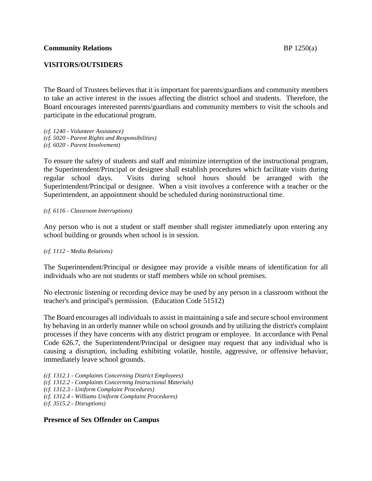## **VISITORS/OUTSIDERS**

The Board of Trustees believes that it is important for parents/guardians and community members to take an active interest in the issues affecting the district school and students. Therefore, the Board encourages interested parents/guardians and community members to visit the schools and participate in the educational program.

*(cf. 1240 - Volunteer Assistance) (cf. 5020 - Parent Rights and Responsibilities) (cf. 6020 - Parent Involvement)*

To ensure the safety of students and staff and minimize interruption of the instructional program, the Superintendent/Principal or designee shall establish procedures which facilitate visits during regular school days. Visits during school hours should be arranged with the Superintendent/Principal or designee. When a visit involves a conference with a teacher or the Superintendent, an appointment should be scheduled during noninstructional time.

#### *(cf. 6116 - Classroom Interruptions)*

Any person who is not a student or staff member shall register immediately upon entering any school building or grounds when school is in session.

### *(cf. 1112 - Media Relations)*

The Superintendent/Principal or designee may provide a visible means of identification for all individuals who are not students or staff members while on school premises.

No electronic listening or recording device may be used by any person in a classroom without the teacher's and principal's permission. (Education Code 51512)

The Board encourages all individuals to assist in maintaining a safe and secure school environment by behaving in an orderly manner while on school grounds and by utilizing the district's complaint processes if they have concerns with any district program or employee. In accordance with Penal Code 626.7, the Superintendent/Principal or designee may request that any individual who is causing a disruption, including exhibiting volatile, hostile, aggressive, or offensive behavior, immediately leave school grounds.

*(cf. 1312.1 - Complaints Concerning District Employees) (cf. 1312.2 - Complaints Concerning Instructional Materials) (cf. 1312.3 - Uniform Complaint Procedures) (cf. 1312.4 - Williams Uniform Complaint Procedures) (cf. 3515.2 - Disruptions)*

### **Presence of Sex Offender on Campus**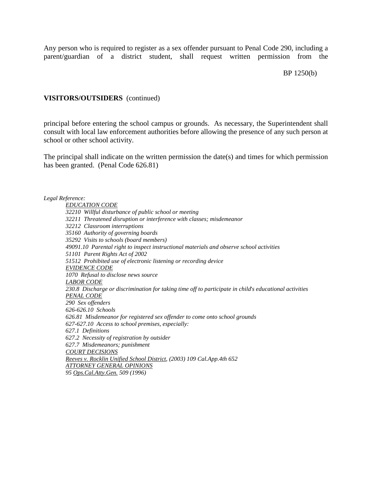Any person who is required to register as a sex offender pursuant to Penal Code 290, including a parent/guardian of a district student, shall request written permission from the

#### BP 1250(b)

### **VISITORS/OUTSIDERS** (continued)

principal before entering the school campus or grounds. As necessary, the Superintendent shall consult with local law enforcement authorities before allowing the presence of any such person at school or other school activity.

The principal shall indicate on the written permission the date(s) and times for which permission has been granted. (Penal Code 626.81)

*Legal Reference:*

*EDUCATION CODE 32210 Willful disturbance of public school or meeting 32211 Threatened disruption or interference with classes; misdemeanor 32212 Classroom interruptions 35160 Authority of governing boards 35292 Visits to schools (board members) 49091.10 Parental right to inspect instructional materials and observe school activities 51101 Parent Rights Act of 2002 51512 Prohibited use of electronic listening or recording device EVIDENCE CODE 1070 Refusal to disclose news source LABOR CODE 230.8 Discharge or discrimination for taking time off to participate in child*'*s educational activities PENAL CODE 290 Sex offenders 626-626.10 Schools 626.81 Misdemeanor for registered sex offender to come onto school grounds 627-627.10 Access to school premises, especially: 627.1 Definitions 627.2 Necessity of registration by outsider 627.7 Misdemeanors; punishment COURT DECISIONS Reeves v. Rocklin Unified School District, (2003) 109 Cal.App.4th 652 ATTORNEY GENERAL OPINIONS 95 Ops.Cal.Atty.Gen. 509 (1996)*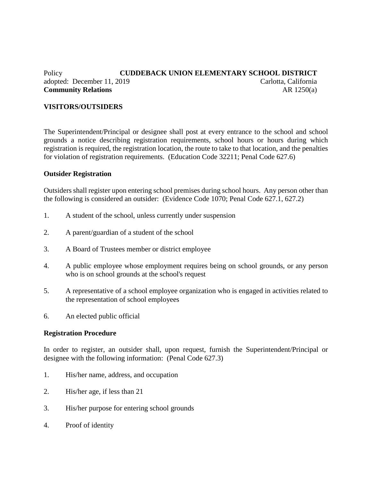# Policy **CUDDEBACK UNION ELEMENTARY SCHOOL DISTRICT** adopted: December 11, 2019 Carlotta, California **Community Relations** AR 1250(a)

## **VISITORS/OUTSIDERS**

The Superintendent/Principal or designee shall post at every entrance to the school and school grounds a notice describing registration requirements, school hours or hours during which registration is required, the registration location, the route to take to that location, and the penalties for violation of registration requirements. (Education Code 32211; Penal Code 627.6)

### **Outsider Registration**

Outsiders shall register upon entering school premises during school hours. Any person other than the following is considered an outsider: (Evidence Code 1070; Penal Code 627.1, 627.2)

- 1. A student of the school, unless currently under suspension
- 2. A parent/guardian of a student of the school
- 3. A Board of Trustees member or district employee
- 4. A public employee whose employment requires being on school grounds, or any person who is on school grounds at the school's request
- 5. A representative of a school employee organization who is engaged in activities related to the representation of school employees
- 6. An elected public official

### **Registration Procedure**

In order to register, an outsider shall, upon request, furnish the Superintendent/Principal or designee with the following information: (Penal Code 627.3)

- 1. His/her name, address, and occupation
- 2. His/her age, if less than 21
- 3. His/her purpose for entering school grounds
- 4. Proof of identity